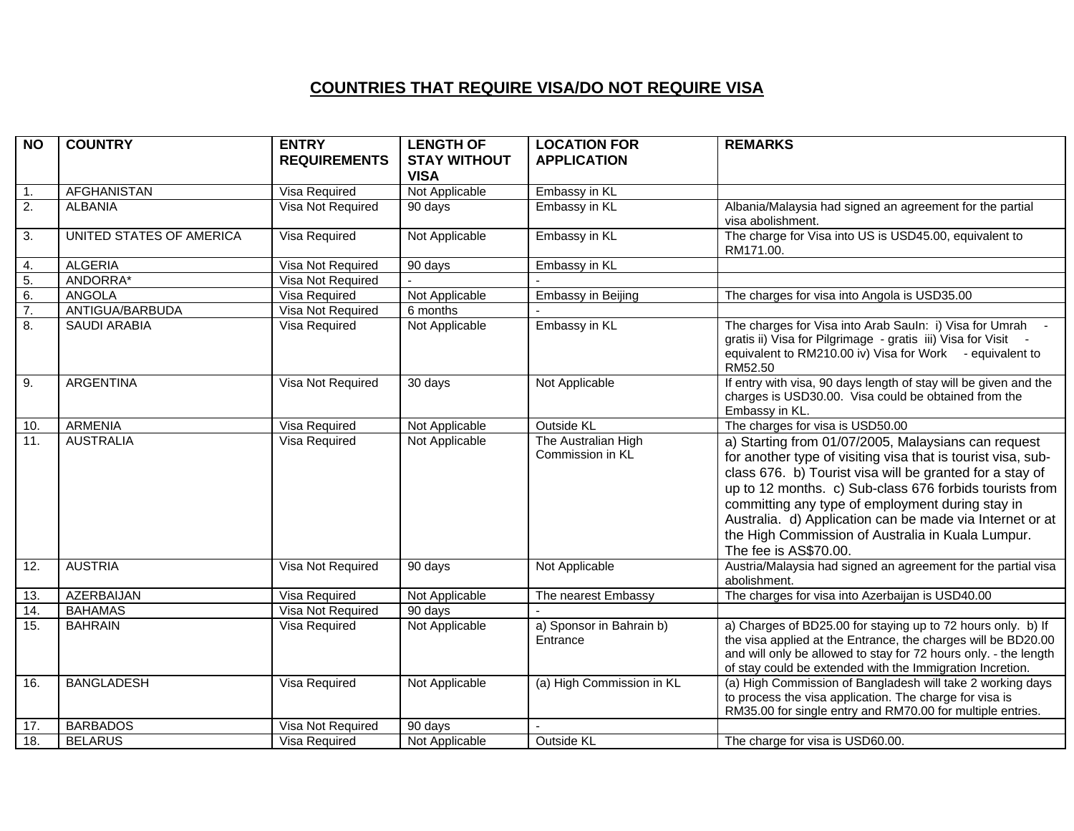## **COUNTRIES THAT REQUIRE VISA/DO NOT REQUIRE VISA**

| <b>NO</b>        | <b>COUNTRY</b>           | <b>ENTRY</b><br><b>REQUIREMENTS</b> | <b>LENGTH OF</b><br><b>STAY WITHOUT</b> | <b>LOCATION FOR</b><br><b>APPLICATION</b> | <b>REMARKS</b>                                                                                                                                                                                                                                                                                                                                                                                                                           |
|------------------|--------------------------|-------------------------------------|-----------------------------------------|-------------------------------------------|------------------------------------------------------------------------------------------------------------------------------------------------------------------------------------------------------------------------------------------------------------------------------------------------------------------------------------------------------------------------------------------------------------------------------------------|
|                  |                          |                                     | <b>VISA</b>                             |                                           |                                                                                                                                                                                                                                                                                                                                                                                                                                          |
| 1.               | <b>AFGHANISTAN</b>       | Visa Required                       | Not Applicable                          | Embassy in KL                             |                                                                                                                                                                                                                                                                                                                                                                                                                                          |
| 2.               | <b>ALBANIA</b>           | Visa Not Required                   | 90 days                                 | Embassy in KL                             | Albania/Malaysia had signed an agreement for the partial<br>visa abolishment.                                                                                                                                                                                                                                                                                                                                                            |
| 3.               | UNITED STATES OF AMERICA | Visa Required                       | Not Applicable                          | Embassy in KL                             | The charge for Visa into US is USD45.00, equivalent to<br>RM171.00.                                                                                                                                                                                                                                                                                                                                                                      |
| 4.               | <b>ALGERIA</b>           | Visa Not Required                   | 90 days                                 | Embassy in KL                             |                                                                                                                                                                                                                                                                                                                                                                                                                                          |
| 5.               | ANDORRA*                 | Visa Not Required                   |                                         |                                           |                                                                                                                                                                                                                                                                                                                                                                                                                                          |
| 6.               | <b>ANGOLA</b>            | Visa Required                       | Not Applicable                          | Embassy in Beijing                        | The charges for visa into Angola is USD35.00                                                                                                                                                                                                                                                                                                                                                                                             |
| $\overline{7}$ . | ANTIGUA/BARBUDA          | Visa Not Required                   | 6 months                                |                                           |                                                                                                                                                                                                                                                                                                                                                                                                                                          |
| 8.               | <b>SAUDI ARABIA</b>      | Visa Required                       | Not Applicable                          | Embassy in KL                             | The charges for Visa into Arab Sauln: i) Visa for Umrah -<br>gratis ii) Visa for Pilgrimage - gratis iii) Visa for Visit -<br>equivalent to RM210.00 iv) Visa for Work - equivalent to<br>RM52.50                                                                                                                                                                                                                                        |
| 9.               | <b>ARGENTINA</b>         | Visa Not Required                   | 30 days                                 | Not Applicable                            | If entry with visa, 90 days length of stay will be given and the<br>charges is USD30.00. Visa could be obtained from the<br>Embassy in KL.                                                                                                                                                                                                                                                                                               |
| 10.              | <b>ARMENIA</b>           | Visa Required                       | Not Applicable                          | Outside KL                                | The charges for visa is USD50.00                                                                                                                                                                                                                                                                                                                                                                                                         |
| 11.              | <b>AUSTRALIA</b>         | Visa Required                       | Not Applicable                          | The Australian High<br>Commission in KL   | a) Starting from 01/07/2005, Malaysians can request<br>for another type of visiting visa that is tourist visa, sub-<br>class 676. b) Tourist visa will be granted for a stay of<br>up to 12 months. c) Sub-class 676 forbids tourists from<br>committing any type of employment during stay in<br>Australia. d) Application can be made via Internet or at<br>the High Commission of Australia in Kuala Lumpur.<br>The fee is AS\$70.00. |
| 12.              | <b>AUSTRIA</b>           | Visa Not Required                   | 90 days                                 | Not Applicable                            | Austria/Malaysia had signed an agreement for the partial visa<br>abolishment.                                                                                                                                                                                                                                                                                                                                                            |
| 13.              | <b>AZERBAIJAN</b>        | Visa Required                       | Not Applicable                          | The nearest Embassy                       | The charges for visa into Azerbaijan is USD40.00                                                                                                                                                                                                                                                                                                                                                                                         |
| 14.              | <b>BAHAMAS</b>           | Visa Not Required                   | 90 days                                 |                                           |                                                                                                                                                                                                                                                                                                                                                                                                                                          |
| 15.              | <b>BAHRAIN</b>           | Visa Required                       | Not Applicable                          | a) Sponsor in Bahrain b)<br>Entrance      | a) Charges of BD25.00 for staying up to 72 hours only. b) If<br>the visa applied at the Entrance, the charges will be BD20.00<br>and will only be allowed to stay for 72 hours only. - the length<br>of stay could be extended with the Immigration Incretion.                                                                                                                                                                           |
| 16.              | <b>BANGLADESH</b>        | Visa Required                       | Not Applicable                          | (a) High Commission in KL                 | (a) High Commission of Bangladesh will take 2 working days<br>to process the visa application. The charge for visa is<br>RM35.00 for single entry and RM70.00 for multiple entries.                                                                                                                                                                                                                                                      |
| 17.              | <b>BARBADOS</b>          | Visa Not Required                   | 90 days                                 |                                           |                                                                                                                                                                                                                                                                                                                                                                                                                                          |
| 18.              | <b>BELARUS</b>           | Visa Required                       | Not Applicable                          | Outside KL                                | The charge for visa is USD60.00.                                                                                                                                                                                                                                                                                                                                                                                                         |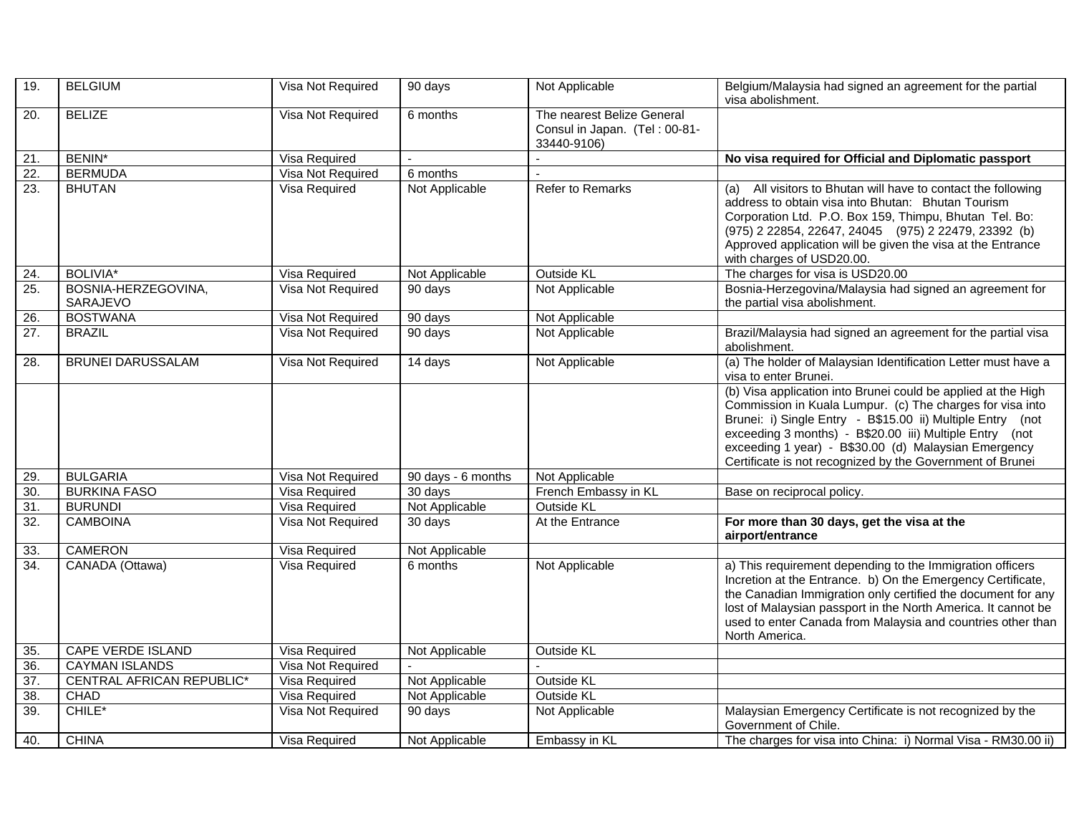| 19.               | <b>BELGIUM</b>                   | Visa Not Required    | 90 days              | Not Applicable                                                             | Belgium/Malaysia had signed an agreement for the partial<br>visa abolishment.                                                                                                                                                                                                                                                                                            |
|-------------------|----------------------------------|----------------------|----------------------|----------------------------------------------------------------------------|--------------------------------------------------------------------------------------------------------------------------------------------------------------------------------------------------------------------------------------------------------------------------------------------------------------------------------------------------------------------------|
| 20.               | <b>BELIZE</b>                    | Visa Not Required    | 6 months             | The nearest Belize General<br>Consul in Japan. (Tel: 00-81-<br>33440-9106) |                                                                                                                                                                                                                                                                                                                                                                          |
| 21.               | <b>BENIN*</b>                    | Visa Required        |                      |                                                                            | No visa required for Official and Diplomatic passport                                                                                                                                                                                                                                                                                                                    |
| $\overline{22}$ . | <b>BERMUDA</b>                   | Visa Not Required    | 6 months             |                                                                            |                                                                                                                                                                                                                                                                                                                                                                          |
| $\overline{23}$ . | <b>BHUTAN</b>                    | <b>Visa Required</b> | Not Applicable       | Refer to Remarks                                                           | (a) All visitors to Bhutan will have to contact the following<br>address to obtain visa into Bhutan: Bhutan Tourism<br>Corporation Ltd. P.O. Box 159, Thimpu, Bhutan Tel. Bo:<br>(975) 2 22854, 22647, 24045 (975) 2 22479, 23392 (b)<br>Approved application will be given the visa at the Entrance<br>with charges of USD20.00.                                        |
| 24.               | <b>BOLIVIA*</b>                  | Visa Required        | Not Applicable       | Outside KL                                                                 | The charges for visa is USD20.00                                                                                                                                                                                                                                                                                                                                         |
| 25.               | BOSNIA-HERZEGOVINA,<br>SARAJEVO  | Visa Not Required    | 90 days              | Not Applicable                                                             | Bosnia-Herzegovina/Malaysia had signed an agreement for<br>the partial visa abolishment.                                                                                                                                                                                                                                                                                 |
| 26.               | <b>BOSTWANA</b>                  | Visa Not Required    | $\overline{90}$ days | Not Applicable                                                             |                                                                                                                                                                                                                                                                                                                                                                          |
| 27.               | <b>BRAZIL</b>                    | Visa Not Required    | 90 days              | Not Applicable                                                             | Brazil/Malaysia had signed an agreement for the partial visa<br>abolishment.                                                                                                                                                                                                                                                                                             |
| 28.               | <b>BRUNEI DARUSSALAM</b>         | Visa Not Required    | 14 days              | Not Applicable                                                             | (a) The holder of Malaysian Identification Letter must have a<br>visa to enter Brunei.                                                                                                                                                                                                                                                                                   |
|                   |                                  |                      |                      |                                                                            | (b) Visa application into Brunei could be applied at the High<br>Commission in Kuala Lumpur. (c) The charges for visa into<br>Brunei: i) Single Entry - B\$15.00 ii) Multiple Entry (not<br>exceeding 3 months) - B\$20.00 iii) Multiple Entry (not<br>exceeding 1 year) - B\$30.00 (d) Malaysian Emergency<br>Certificate is not recognized by the Government of Brunei |
| 29.               | <b>BULGARIA</b>                  | Visa Not Required    | 90 days - 6 months   | Not Applicable                                                             |                                                                                                                                                                                                                                                                                                                                                                          |
| 30.               | <b>BURKINA FASO</b>              | Visa Required        | 30 days              | French Embassy in KL                                                       | Base on reciprocal policy.                                                                                                                                                                                                                                                                                                                                               |
| 31.               | <b>BURUNDI</b>                   | Visa Required        | Not Applicable       | <b>Outside KL</b>                                                          |                                                                                                                                                                                                                                                                                                                                                                          |
| $\overline{32}$ . | <b>CAMBOINA</b>                  | Visa Not Required    | 30 days              | At the Entrance                                                            | For more than 30 days, get the visa at the<br>airport/entrance                                                                                                                                                                                                                                                                                                           |
| 33.               | <b>CAMERON</b>                   | Visa Required        | Not Applicable       |                                                                            |                                                                                                                                                                                                                                                                                                                                                                          |
| $\overline{34}$ . | CANADA (Ottawa)                  | Visa Required        | 6 months             | Not Applicable                                                             | a) This requirement depending to the Immigration officers<br>Incretion at the Entrance. b) On the Emergency Certificate,<br>the Canadian Immigration only certified the document for any<br>lost of Malaysian passport in the North America. It cannot be<br>used to enter Canada from Malaysia and countries other than<br>North America.                               |
| 35.               | CAPE VERDE ISLAND                | Visa Required        | Not Applicable       | Outside KL                                                                 |                                                                                                                                                                                                                                                                                                                                                                          |
| 36.               | <b>CAYMAN ISLANDS</b>            | Visa Not Required    |                      |                                                                            |                                                                                                                                                                                                                                                                                                                                                                          |
| $\overline{37}$ . | <b>CENTRAL AFRICAN REPUBLIC*</b> | Visa Required        | Not Applicable       | Outside KL                                                                 |                                                                                                                                                                                                                                                                                                                                                                          |
| $\overline{38}$   | <b>CHAD</b>                      | <b>Visa Required</b> | Not Applicable       | <b>Outside KL</b>                                                          |                                                                                                                                                                                                                                                                                                                                                                          |
| 39.               | $CHILE^*$                        | Visa Not Required    | 90 days              | Not Applicable                                                             | Malaysian Emergency Certificate is not recognized by the<br>Government of Chile.                                                                                                                                                                                                                                                                                         |
| 40.               | <b>CHINA</b>                     | Visa Required        | Not Applicable       | Embassy in KL                                                              | The charges for visa into China: i) Normal Visa - RM30.00 ii)                                                                                                                                                                                                                                                                                                            |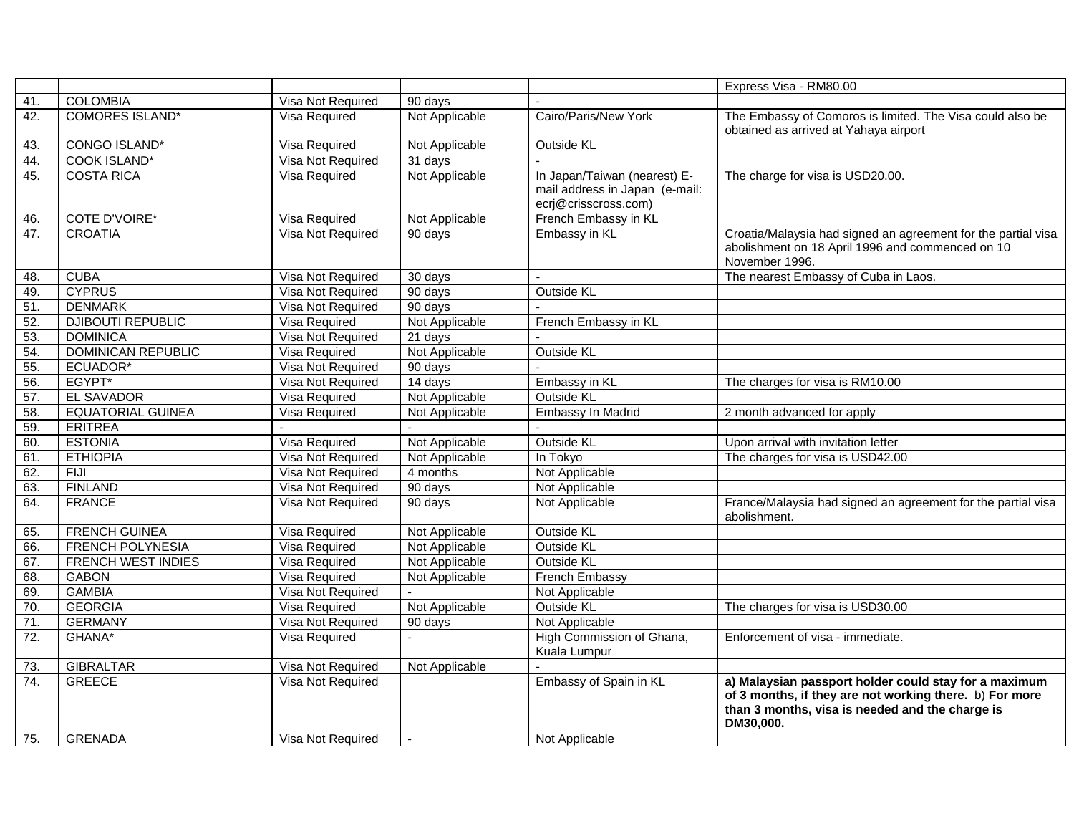|     |                           |                      |                      |                                                                                        | Express Visa - RM80.00                                                                                                                                                           |
|-----|---------------------------|----------------------|----------------------|----------------------------------------------------------------------------------------|----------------------------------------------------------------------------------------------------------------------------------------------------------------------------------|
| 41. | <b>COLOMBIA</b>           | Visa Not Required    | 90 days              |                                                                                        |                                                                                                                                                                                  |
| 42. | <b>COMORES ISLAND*</b>    | Visa Required        | Not Applicable       | Cairo/Paris/New York                                                                   | The Embassy of Comoros is limited. The Visa could also be<br>obtained as arrived at Yahaya airport                                                                               |
| 43. | <b>CONGO ISLAND*</b>      | <b>Visa Required</b> | Not Applicable       | Outside KL                                                                             |                                                                                                                                                                                  |
| 44. | <b>COOK ISLAND*</b>       | Visa Not Required    | 31 days              |                                                                                        |                                                                                                                                                                                  |
| 45. | <b>COSTA RICA</b>         | Visa Required        | Not Applicable       | In Japan/Taiwan (nearest) E-<br>mail address in Japan (e-mail:<br>ecrj@crisscross.com) | The charge for visa is USD20.00.                                                                                                                                                 |
| 46. | <b>COTE D'VOIRE*</b>      | Visa Required        | Not Applicable       | French Embassy in KL                                                                   |                                                                                                                                                                                  |
| 47. | <b>CROATIA</b>            | Visa Not Required    | 90 days              | Embassy in KL                                                                          | Croatia/Malaysia had signed an agreement for the partial visa<br>abolishment on 18 April 1996 and commenced on 10<br>November 1996.                                              |
| 48. | <b>CUBA</b>               | Visa Not Required    | 30 days              |                                                                                        | The nearest Embassy of Cuba in Laos.                                                                                                                                             |
| 49. | <b>CYPRUS</b>             | Visa Not Required    | 90 days              | <b>Outside KL</b>                                                                      |                                                                                                                                                                                  |
| 51. | <b>DENMARK</b>            | Visa Not Required    | $\overline{90}$ days |                                                                                        |                                                                                                                                                                                  |
| 52. | <b>DJIBOUTI REPUBLIC</b>  | Visa Required        | Not Applicable       | French Embassy in KL                                                                   |                                                                                                                                                                                  |
| 53. | <b>DOMINICA</b>           | Visa Not Required    | 21 days              |                                                                                        |                                                                                                                                                                                  |
| 54. | <b>DOMINICAN REPUBLIC</b> | Visa Required        | Not Applicable       | Outside KL                                                                             |                                                                                                                                                                                  |
| 55. | ECUADOR*                  | Visa Not Required    | 90 days              |                                                                                        |                                                                                                                                                                                  |
| 56. | EGYPT*                    | Visa Not Required    | 14 days              | Embassy in KL                                                                          | The charges for visa is RM10.00                                                                                                                                                  |
| 57. | <b>EL SAVADOR</b>         | Visa Required        | Not Applicable       | <b>Outside KL</b>                                                                      |                                                                                                                                                                                  |
| 58. | <b>EQUATORIAL GUINEA</b>  | Visa Required        | Not Applicable       | Embassy In Madrid                                                                      | 2 month advanced for apply                                                                                                                                                       |
| 59. | <b>ERITREA</b>            |                      |                      |                                                                                        |                                                                                                                                                                                  |
| 60. | <b>ESTONIA</b>            | Visa Required        | Not Applicable       | <b>Outside KL</b>                                                                      | Upon arrival with invitation letter                                                                                                                                              |
| 61. | <b>ETHIOPIA</b>           | Visa Not Required    | Not Applicable       | In Tokyo                                                                               | The charges for visa is USD42.00                                                                                                                                                 |
| 62. | <b>FIJI</b>               | Visa Not Required    | 4 months             | Not Applicable                                                                         |                                                                                                                                                                                  |
| 63. | <b>FINLAND</b>            | Visa Not Required    | 90 days              | Not Applicable                                                                         |                                                                                                                                                                                  |
| 64. | <b>FRANCE</b>             | Visa Not Required    | 90 days              | Not Applicable                                                                         | France/Malaysia had signed an agreement for the partial visa<br>abolishment.                                                                                                     |
| 65. | <b>FRENCH GUINEA</b>      | Visa Required        | Not Applicable       | <b>Outside KL</b>                                                                      |                                                                                                                                                                                  |
| 66. | <b>FRENCH POLYNESIA</b>   | <b>Visa Required</b> | Not Applicable       | <b>Outside KL</b>                                                                      |                                                                                                                                                                                  |
| 67. | <b>FRENCH WEST INDIES</b> | Visa Required        | Not Applicable       | <b>Outside KL</b>                                                                      |                                                                                                                                                                                  |
| 68. | <b>GABON</b>              | Visa Required        | Not Applicable       | French Embassy                                                                         |                                                                                                                                                                                  |
| 69. | <b>GAMBIA</b>             | Visa Not Required    |                      | Not Applicable                                                                         |                                                                                                                                                                                  |
| 70. | <b>GEORGIA</b>            | Visa Required        | Not Applicable       | Outside KL                                                                             | The charges for visa is USD30.00                                                                                                                                                 |
| 71. | <b>GERMANY</b>            | Visa Not Required    | 90 days              | Not Applicable                                                                         |                                                                                                                                                                                  |
| 72. | GHANA*                    | Visa Required        |                      | High Commission of Ghana,<br>Kuala Lumpur                                              | Enforcement of visa - immediate.                                                                                                                                                 |
| 73. | <b>GIBRALTAR</b>          | Visa Not Required    | Not Applicable       |                                                                                        |                                                                                                                                                                                  |
| 74. | <b>GREECE</b>             | Visa Not Required    |                      | Embassy of Spain in KL                                                                 | a) Malaysian passport holder could stay for a maximum<br>of 3 months, if they are not working there. b) For more<br>than 3 months, visa is needed and the charge is<br>DM30,000. |
| 75. | <b>GRENADA</b>            | Visa Not Required    | $\blacksquare$       | Not Applicable                                                                         |                                                                                                                                                                                  |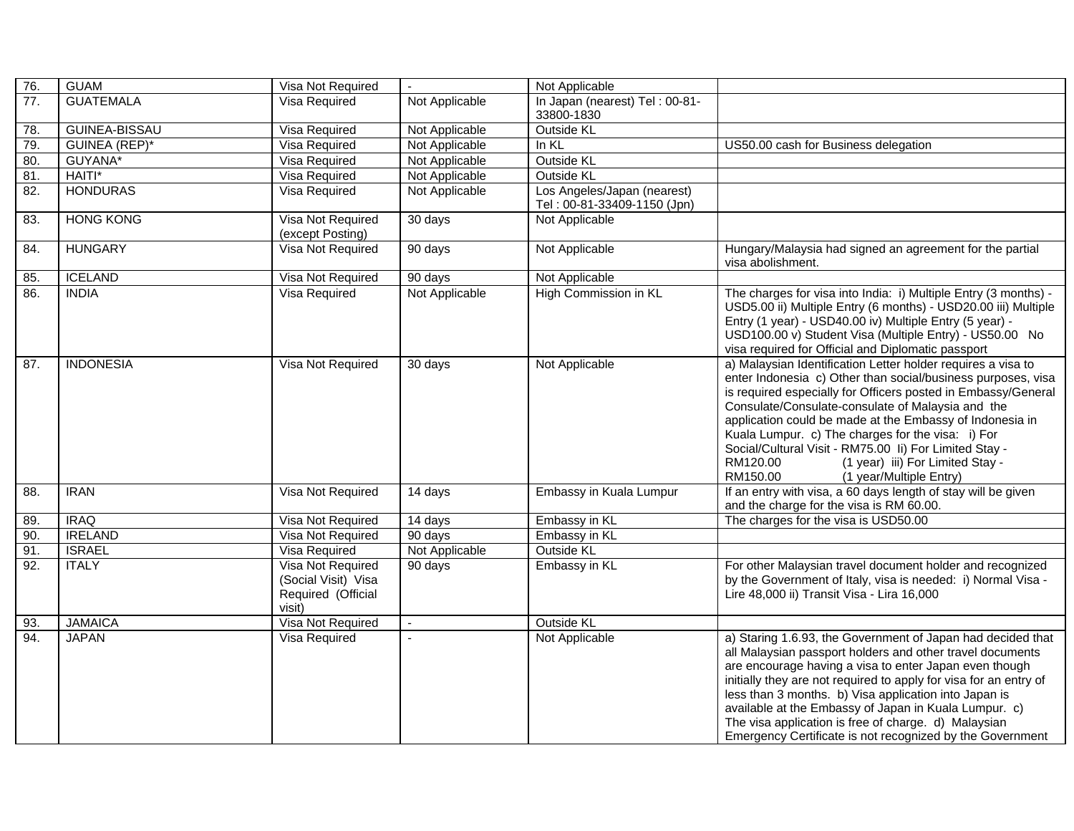| 76. | <b>GUAM</b>          | Visa Not Required                                                        | $\omega$       | Not Applicable                                             |                                                                                                                                                                                                                                                                                                                                                                                                                                                                                                                      |
|-----|----------------------|--------------------------------------------------------------------------|----------------|------------------------------------------------------------|----------------------------------------------------------------------------------------------------------------------------------------------------------------------------------------------------------------------------------------------------------------------------------------------------------------------------------------------------------------------------------------------------------------------------------------------------------------------------------------------------------------------|
| 77. | <b>GUATEMALA</b>     | Visa Required                                                            | Not Applicable | In Japan (nearest) Tel: 00-81-<br>33800-1830               |                                                                                                                                                                                                                                                                                                                                                                                                                                                                                                                      |
| 78. | GUINEA-BISSAU        | Visa Required                                                            | Not Applicable | Outside KL                                                 |                                                                                                                                                                                                                                                                                                                                                                                                                                                                                                                      |
| 79. | <b>GUINEA (REP)*</b> | Visa Required                                                            | Not Applicable | In KL                                                      | US50.00 cash for Business delegation                                                                                                                                                                                                                                                                                                                                                                                                                                                                                 |
| 80. | GUYANA*              | Visa Required                                                            | Not Applicable | Outside KL                                                 |                                                                                                                                                                                                                                                                                                                                                                                                                                                                                                                      |
| 81. | HAITI*               | Visa Required                                                            | Not Applicable | <b>Outside KL</b>                                          |                                                                                                                                                                                                                                                                                                                                                                                                                                                                                                                      |
| 82. | <b>HONDURAS</b>      | Visa Required                                                            | Not Applicable | Los Angeles/Japan (nearest)<br>Tel: 00-81-33409-1150 (Jpn) |                                                                                                                                                                                                                                                                                                                                                                                                                                                                                                                      |
| 83. | <b>HONG KONG</b>     | Visa Not Required<br>(except Posting)                                    | 30 days        | Not Applicable                                             |                                                                                                                                                                                                                                                                                                                                                                                                                                                                                                                      |
| 84. | <b>HUNGARY</b>       | Visa Not Required                                                        | 90 days        | Not Applicable                                             | Hungary/Malaysia had signed an agreement for the partial<br>visa abolishment.                                                                                                                                                                                                                                                                                                                                                                                                                                        |
| 85. | <b>ICELAND</b>       | Visa Not Required                                                        | 90 days        | Not Applicable                                             |                                                                                                                                                                                                                                                                                                                                                                                                                                                                                                                      |
| 86. | <b>INDIA</b>         | Visa Required                                                            | Not Applicable | High Commission in KL                                      | The charges for visa into India: i) Multiple Entry (3 months) -<br>USD5.00 ii) Multiple Entry (6 months) - USD20.00 iii) Multiple<br>Entry (1 year) - USD40.00 iv) Multiple Entry (5 year) -<br>USD100.00 v) Student Visa (Multiple Entry) - US50.00 No<br>visa required for Official and Diplomatic passport                                                                                                                                                                                                        |
| 87. | <b>INDONESIA</b>     | Visa Not Required                                                        | 30 days        | Not Applicable                                             | a) Malaysian Identification Letter holder requires a visa to<br>enter Indonesia c) Other than social/business purposes, visa<br>is required especially for Officers posted in Embassy/General<br>Consulate/Consulate-consulate of Malaysia and the<br>application could be made at the Embassy of Indonesia in<br>Kuala Lumpur. c) The charges for the visa: i) For<br>Social/Cultural Visit - RM75.00 li) For Limited Stay -<br>RM120.00<br>(1 year) iii) For Limited Stay -<br>RM150.00<br>(1 year/Multiple Entry) |
| 88. | <b>IRAN</b>          | Visa Not Required                                                        | 14 days        | Embassy in Kuala Lumpur                                    | If an entry with visa, a 60 days length of stay will be given<br>and the charge for the visa is RM 60.00.                                                                                                                                                                                                                                                                                                                                                                                                            |
| 89. | <b>IRAQ</b>          | Visa Not Required                                                        | 14 days        | Embassy in KL                                              | The charges for the visa is USD50.00                                                                                                                                                                                                                                                                                                                                                                                                                                                                                 |
| 90. | <b>IRELAND</b>       | Visa Not Required                                                        | 90 days        | Embassy in KL                                              |                                                                                                                                                                                                                                                                                                                                                                                                                                                                                                                      |
| 91. | <b>ISRAEL</b>        | Visa Required                                                            | Not Applicable | <b>Outside KL</b>                                          |                                                                                                                                                                                                                                                                                                                                                                                                                                                                                                                      |
| 92. | <b>ITALY</b>         | Visa Not Required<br>(Social Visit) Visa<br>Required (Official<br>visit) | 90 days        | Embassy in KL                                              | For other Malaysian travel document holder and recognized<br>by the Government of Italy, visa is needed: i) Normal Visa -<br>Lire 48,000 ii) Transit Visa - Lira 16,000                                                                                                                                                                                                                                                                                                                                              |
| 93. | <b>JAMAICA</b>       | Visa Not Required                                                        | $\blacksquare$ | <b>Outside KL</b>                                          |                                                                                                                                                                                                                                                                                                                                                                                                                                                                                                                      |
| 94. | <b>JAPAN</b>         | Visa Required                                                            | $\sim$         | Not Applicable                                             | a) Staring 1.6.93, the Government of Japan had decided that<br>all Malaysian passport holders and other travel documents<br>are encourage having a visa to enter Japan even though<br>initially they are not required to apply for visa for an entry of<br>less than 3 months. b) Visa application into Japan is<br>available at the Embassy of Japan in Kuala Lumpur. c)<br>The visa application is free of charge. d) Malaysian<br>Emergency Certificate is not recognized by the Government                       |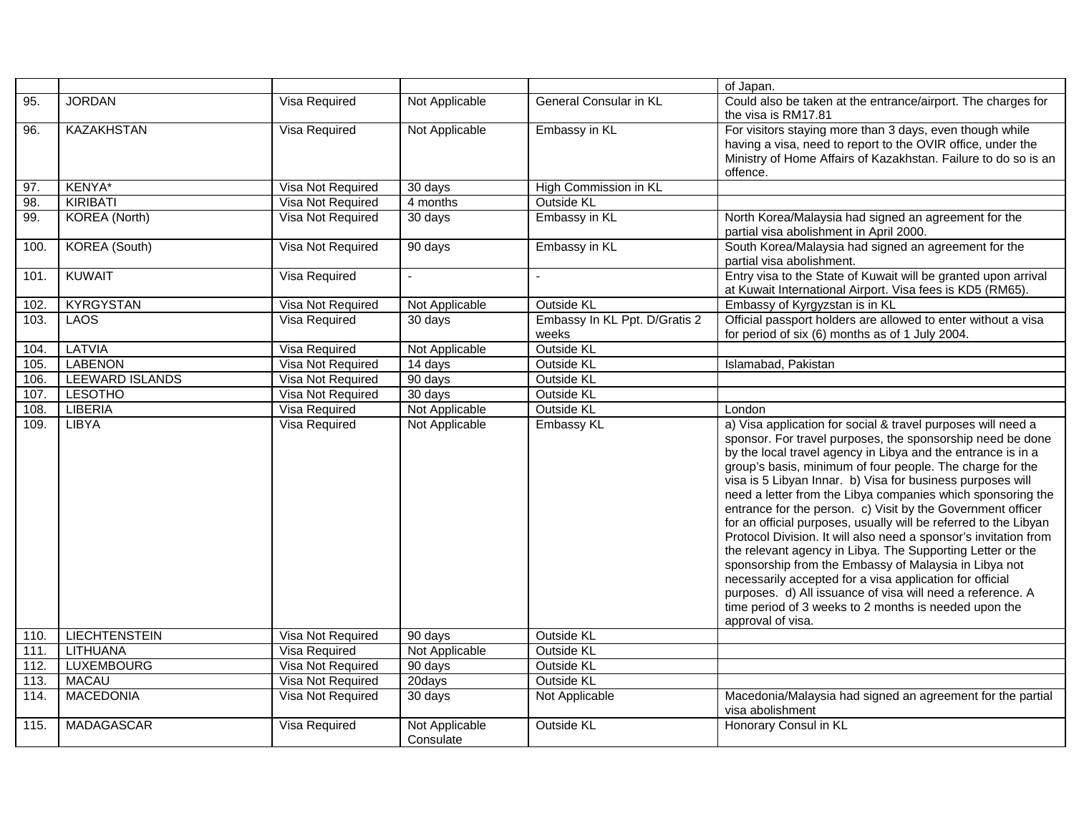|      |                      |                      |                             |                                        | of Japan.                                                                                                                                                                                                                                                                                                                                                                                                                                                                                                                                                                                                                                                                                                                                                                                                                                                                                                                  |
|------|----------------------|----------------------|-----------------------------|----------------------------------------|----------------------------------------------------------------------------------------------------------------------------------------------------------------------------------------------------------------------------------------------------------------------------------------------------------------------------------------------------------------------------------------------------------------------------------------------------------------------------------------------------------------------------------------------------------------------------------------------------------------------------------------------------------------------------------------------------------------------------------------------------------------------------------------------------------------------------------------------------------------------------------------------------------------------------|
| 95.  | <b>JORDAN</b>        | Visa Required        | Not Applicable              | General Consular in KL                 | Could also be taken at the entrance/airport. The charges for<br>the visa is RM17.81                                                                                                                                                                                                                                                                                                                                                                                                                                                                                                                                                                                                                                                                                                                                                                                                                                        |
| 96.  | <b>KAZAKHSTAN</b>    | Visa Required        | Not Applicable              | Embassy in KL                          | For visitors staying more than 3 days, even though while<br>having a visa, need to report to the OVIR office, under the<br>Ministry of Home Affairs of Kazakhstan. Failure to do so is an<br>offence.                                                                                                                                                                                                                                                                                                                                                                                                                                                                                                                                                                                                                                                                                                                      |
| 97.  | KENYA*               | Visa Not Required    | 30 days                     | High Commission in KL                  |                                                                                                                                                                                                                                                                                                                                                                                                                                                                                                                                                                                                                                                                                                                                                                                                                                                                                                                            |
| 98.  | <b>KIRIBATI</b>      | Visa Not Required    | 4 months                    | Outside KL                             |                                                                                                                                                                                                                                                                                                                                                                                                                                                                                                                                                                                                                                                                                                                                                                                                                                                                                                                            |
| 99.  | <b>KOREA</b> (North) | Visa Not Required    | 30 days                     | Embassy in KL                          | North Korea/Malaysia had signed an agreement for the<br>partial visa abolishment in April 2000.                                                                                                                                                                                                                                                                                                                                                                                                                                                                                                                                                                                                                                                                                                                                                                                                                            |
| 100. | <b>KOREA</b> (South) | Visa Not Required    | 90 days                     | Embassy in KL                          | South Korea/Malaysia had signed an agreement for the<br>partial visa abolishment.                                                                                                                                                                                                                                                                                                                                                                                                                                                                                                                                                                                                                                                                                                                                                                                                                                          |
| 101. | <b>KUWAIT</b>        | Visa Required        |                             |                                        | Entry visa to the State of Kuwait will be granted upon arrival<br>at Kuwait International Airport. Visa fees is KD5 (RM65).                                                                                                                                                                                                                                                                                                                                                                                                                                                                                                                                                                                                                                                                                                                                                                                                |
| 102. | <b>KYRGYSTAN</b>     | Visa Not Required    | Not Applicable              | Outside KL                             | Embassy of Kyrgyzstan is in KL                                                                                                                                                                                                                                                                                                                                                                                                                                                                                                                                                                                                                                                                                                                                                                                                                                                                                             |
| 103. | <b>LAOS</b>          | Visa Required        | $30$ days                   | Embassy In KL Ppt. D/Gratis 2<br>weeks | Official passport holders are allowed to enter without a visa<br>for period of six (6) months as of 1 July 2004.                                                                                                                                                                                                                                                                                                                                                                                                                                                                                                                                                                                                                                                                                                                                                                                                           |
| 104. | <b>LATVIA</b>        | Visa Required        | Not Applicable              | <b>Outside KL</b>                      |                                                                                                                                                                                                                                                                                                                                                                                                                                                                                                                                                                                                                                                                                                                                                                                                                                                                                                                            |
| 105. | <b>LABENON</b>       | Visa Not Required    | 14 days                     | <b>Outside KL</b>                      | Islamabad, Pakistan                                                                                                                                                                                                                                                                                                                                                                                                                                                                                                                                                                                                                                                                                                                                                                                                                                                                                                        |
| 106. | LEEWARD ISLANDS      | Visa Not Required    | 90 days                     | <b>Outside KL</b>                      |                                                                                                                                                                                                                                                                                                                                                                                                                                                                                                                                                                                                                                                                                                                                                                                                                                                                                                                            |
| 107. | <b>LESOTHO</b>       | Visa Not Required    | 30 days                     | Outside KL                             |                                                                                                                                                                                                                                                                                                                                                                                                                                                                                                                                                                                                                                                                                                                                                                                                                                                                                                                            |
| 108. | <b>LIBERIA</b>       | Visa Required        | Not Applicable              | <b>Outside KL</b>                      | London                                                                                                                                                                                                                                                                                                                                                                                                                                                                                                                                                                                                                                                                                                                                                                                                                                                                                                                     |
| 109. | LIBYA                | Visa Required        | Not Applicable              | Embassy KL                             | a) Visa application for social & travel purposes will need a<br>sponsor. For travel purposes, the sponsorship need be done<br>by the local travel agency in Libya and the entrance is in a<br>group's basis, minimum of four people. The charge for the<br>visa is 5 Libyan Innar. b) Visa for business purposes will<br>need a letter from the Libya companies which sponsoring the<br>entrance for the person. c) Visit by the Government officer<br>for an official purposes, usually will be referred to the Libyan<br>Protocol Division. It will also need a sponsor's invitation from<br>the relevant agency in Libya. The Supporting Letter or the<br>sponsorship from the Embassy of Malaysia in Libya not<br>necessarily accepted for a visa application for official<br>purposes. d) All issuance of visa will need a reference. A<br>time period of 3 weeks to 2 months is needed upon the<br>approval of visa. |
| 110. | <b>LIECHTENSTEIN</b> | Visa Not Required    | 90 days                     | Outside KL                             |                                                                                                                                                                                                                                                                                                                                                                                                                                                                                                                                                                                                                                                                                                                                                                                                                                                                                                                            |
| 111. | <b>LITHUANA</b>      | <b>Visa Required</b> | Not Applicable              | <b>Outside KL</b>                      |                                                                                                                                                                                                                                                                                                                                                                                                                                                                                                                                                                                                                                                                                                                                                                                                                                                                                                                            |
| 112. | <b>LUXEMBOURG</b>    | Visa Not Required    | 90 days                     | <b>Outside KL</b>                      |                                                                                                                                                                                                                                                                                                                                                                                                                                                                                                                                                                                                                                                                                                                                                                                                                                                                                                                            |
| 113. | <b>MACAU</b>         | Visa Not Required    | 20days                      | <b>Outside KL</b>                      |                                                                                                                                                                                                                                                                                                                                                                                                                                                                                                                                                                                                                                                                                                                                                                                                                                                                                                                            |
| 114. | <b>MACEDONIA</b>     | Visa Not Required    | 30 days                     | Not Applicable                         | Macedonia/Malaysia had signed an agreement for the partial<br>visa abolishment                                                                                                                                                                                                                                                                                                                                                                                                                                                                                                                                                                                                                                                                                                                                                                                                                                             |
| 115. | <b>MADAGASCAR</b>    | Visa Required        | Not Applicable<br>Consulate | <b>Outside KL</b>                      | Honorary Consul in KL                                                                                                                                                                                                                                                                                                                                                                                                                                                                                                                                                                                                                                                                                                                                                                                                                                                                                                      |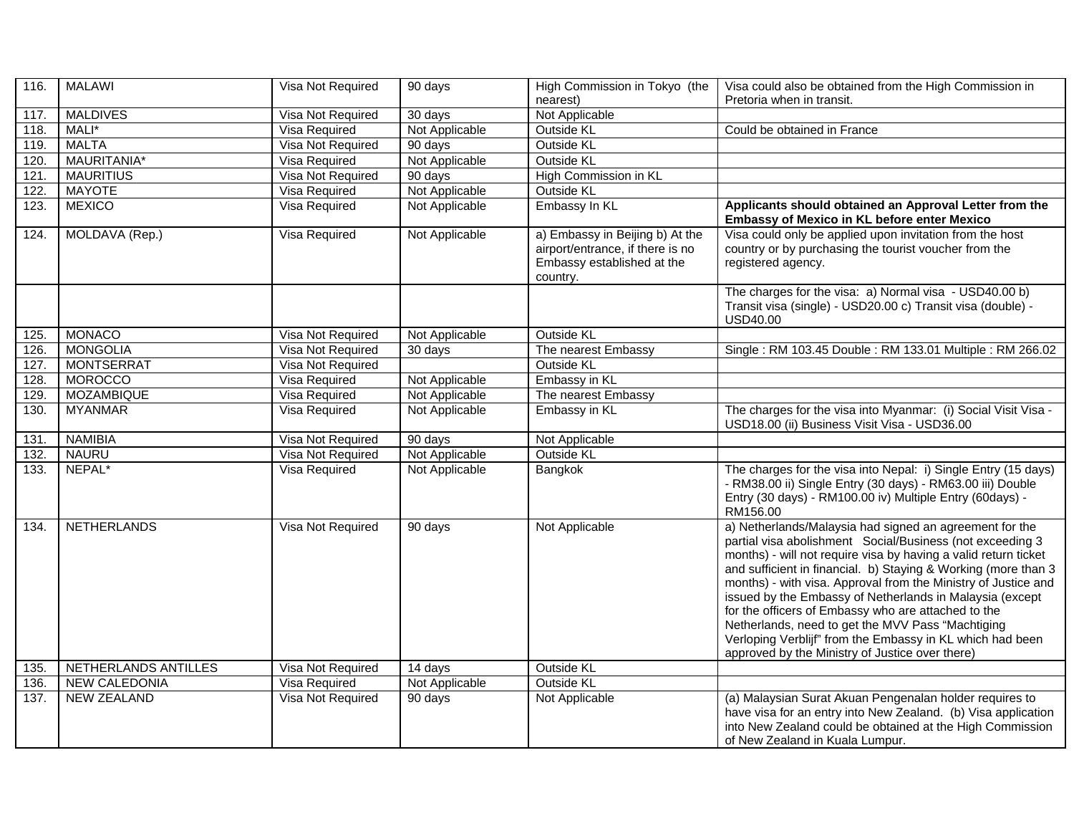| 116. | <b>MALAWI</b>        | Visa Not Required | 90 days        | High Commission in Tokyo (the<br>nearest)                                                                     | Visa could also be obtained from the High Commission in<br>Pretoria when in transit.                                                                                                                                                                                                                                                                                                                                                                                                                                                                                                                                |
|------|----------------------|-------------------|----------------|---------------------------------------------------------------------------------------------------------------|---------------------------------------------------------------------------------------------------------------------------------------------------------------------------------------------------------------------------------------------------------------------------------------------------------------------------------------------------------------------------------------------------------------------------------------------------------------------------------------------------------------------------------------------------------------------------------------------------------------------|
| 117. | <b>MALDIVES</b>      | Visa Not Required | 30 days        | Not Applicable                                                                                                |                                                                                                                                                                                                                                                                                                                                                                                                                                                                                                                                                                                                                     |
| 118. | MALI*                | Visa Required     | Not Applicable | Outside KL                                                                                                    | Could be obtained in France                                                                                                                                                                                                                                                                                                                                                                                                                                                                                                                                                                                         |
| 119. | <b>MALTA</b>         | Visa Not Required | 90 days        | Outside KL                                                                                                    |                                                                                                                                                                                                                                                                                                                                                                                                                                                                                                                                                                                                                     |
| 120. | MAURITANIA*          | Visa Required     | Not Applicable | Outside KL                                                                                                    |                                                                                                                                                                                                                                                                                                                                                                                                                                                                                                                                                                                                                     |
| 121. | <b>MAURITIUS</b>     | Visa Not Required | 90 days        | High Commission in KL                                                                                         |                                                                                                                                                                                                                                                                                                                                                                                                                                                                                                                                                                                                                     |
| 122. | <b>MAYOTE</b>        | Visa Required     | Not Applicable | <b>Outside KL</b>                                                                                             |                                                                                                                                                                                                                                                                                                                                                                                                                                                                                                                                                                                                                     |
| 123. | <b>MEXICO</b>        | Visa Required     | Not Applicable | Embassy In KL                                                                                                 | Applicants should obtained an Approval Letter from the<br>Embassy of Mexico in KL before enter Mexico                                                                                                                                                                                                                                                                                                                                                                                                                                                                                                               |
| 124. | MOLDAVA (Rep.)       | Visa Required     | Not Applicable | a) Embassy in Beijing b) At the<br>airport/entrance, if there is no<br>Embassy established at the<br>country. | Visa could only be applied upon invitation from the host<br>country or by purchasing the tourist voucher from the<br>registered agency.                                                                                                                                                                                                                                                                                                                                                                                                                                                                             |
|      |                      |                   |                |                                                                                                               | The charges for the visa: a) Normal visa - USD40.00 b)<br>Transit visa (single) - USD20.00 c) Transit visa (double) -<br><b>USD40.00</b>                                                                                                                                                                                                                                                                                                                                                                                                                                                                            |
| 125. | <b>MONACO</b>        | Visa Not Required | Not Applicable | <b>Outside KL</b>                                                                                             |                                                                                                                                                                                                                                                                                                                                                                                                                                                                                                                                                                                                                     |
| 126. | <b>MONGOLIA</b>      | Visa Not Required | 30 days        | The nearest Embassy                                                                                           | Single: RM 103.45 Double: RM 133.01 Multiple: RM 266.02                                                                                                                                                                                                                                                                                                                                                                                                                                                                                                                                                             |
| 127. | <b>MONTSERRAT</b>    | Visa Not Required |                | <b>Outside KL</b>                                                                                             |                                                                                                                                                                                                                                                                                                                                                                                                                                                                                                                                                                                                                     |
| 128. | <b>MOROCCO</b>       | Visa Required     | Not Applicable | Embassy in KL                                                                                                 |                                                                                                                                                                                                                                                                                                                                                                                                                                                                                                                                                                                                                     |
| 129. | <b>MOZAMBIQUE</b>    | Visa Required     | Not Applicable | The nearest Embassy                                                                                           |                                                                                                                                                                                                                                                                                                                                                                                                                                                                                                                                                                                                                     |
| 130. | <b>MYANMAR</b>       | Visa Required     | Not Applicable | Embassy in KL                                                                                                 | The charges for the visa into Myanmar: (i) Social Visit Visa -<br>USD18.00 (ii) Business Visit Visa - USD36.00                                                                                                                                                                                                                                                                                                                                                                                                                                                                                                      |
| 131. | <b>NAMIBIA</b>       | Visa Not Required | 90 days        | Not Applicable                                                                                                |                                                                                                                                                                                                                                                                                                                                                                                                                                                                                                                                                                                                                     |
| 132. | <b>NAURU</b>         | Visa Not Required | Not Applicable | <b>Outside KL</b>                                                                                             |                                                                                                                                                                                                                                                                                                                                                                                                                                                                                                                                                                                                                     |
| 133. | NEPAL*               | Visa Required     | Not Applicable | Bangkok                                                                                                       | The charges for the visa into Nepal: i) Single Entry (15 days)<br>- RM38.00 ii) Single Entry (30 days) - RM63.00 iii) Double<br>Entry (30 days) - RM100.00 iv) Multiple Entry (60days) -<br>RM156.00                                                                                                                                                                                                                                                                                                                                                                                                                |
| 134. | <b>NETHERLANDS</b>   | Visa Not Required | 90 days        | Not Applicable                                                                                                | a) Netherlands/Malaysia had signed an agreement for the<br>partial visa abolishment Social/Business (not exceeding 3<br>months) - will not require visa by having a valid return ticket<br>and sufficient in financial. b) Staying & Working (more than 3<br>months) - with visa. Approval from the Ministry of Justice and<br>issued by the Embassy of Netherlands in Malaysia (except<br>for the officers of Embassy who are attached to the<br>Netherlands, need to get the MVV Pass "Machtiging<br>Verloping Verblijf" from the Embassy in KL which had been<br>approved by the Ministry of Justice over there) |
| 135. | NETHERLANDS ANTILLES | Visa Not Required | 14 days        | Outside KL                                                                                                    |                                                                                                                                                                                                                                                                                                                                                                                                                                                                                                                                                                                                                     |
| 136. | <b>NEW CALEDONIA</b> | Visa Required     | Not Applicable | <b>Outside KL</b>                                                                                             |                                                                                                                                                                                                                                                                                                                                                                                                                                                                                                                                                                                                                     |
| 137. | <b>NEW ZEALAND</b>   | Visa Not Required | 90 days        | Not Applicable                                                                                                | (a) Malaysian Surat Akuan Pengenalan holder requires to<br>have visa for an entry into New Zealand. (b) Visa application<br>into New Zealand could be obtained at the High Commission<br>of New Zealand in Kuala Lumpur.                                                                                                                                                                                                                                                                                                                                                                                            |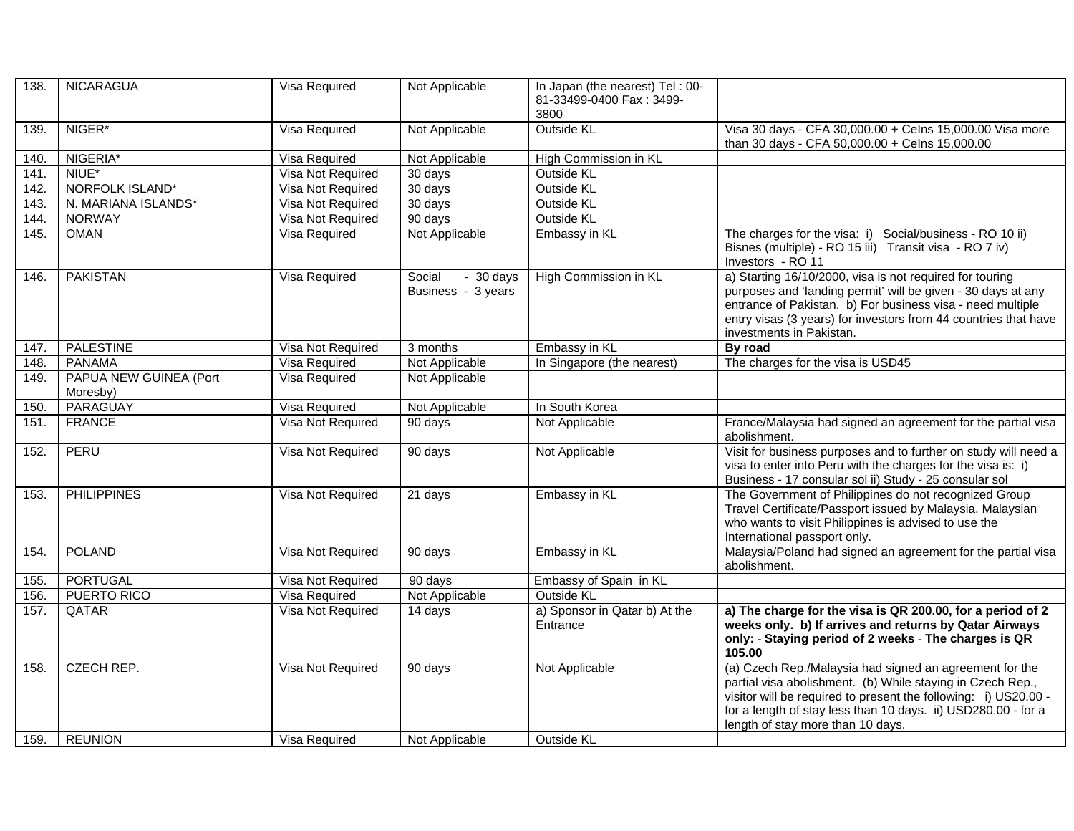| 138. | <b>NICARAGUA</b>                   | Visa Required     | Not Applicable                             | In Japan (the nearest) Tel: 00-<br>81-33499-0400 Fax: 3499-<br>3800 |                                                                                                                                                                                                                                                                                                |
|------|------------------------------------|-------------------|--------------------------------------------|---------------------------------------------------------------------|------------------------------------------------------------------------------------------------------------------------------------------------------------------------------------------------------------------------------------------------------------------------------------------------|
| 139. | NIGER*                             | Visa Required     | Not Applicable                             | <b>Outside KL</b>                                                   | Visa 30 days - CFA 30,000.00 + Celns 15,000.00 Visa more<br>than 30 days - CFA 50,000.00 + Celns 15,000.00                                                                                                                                                                                     |
| 140. | NIGERIA*                           | Visa Required     | Not Applicable                             | High Commission in KL                                               |                                                                                                                                                                                                                                                                                                |
| 141. | NIUE*                              | Visa Not Required | 30 days                                    | <b>Outside KL</b>                                                   |                                                                                                                                                                                                                                                                                                |
| 142. | <b>NORFOLK ISLAND*</b>             | Visa Not Required | 30 days                                    | <b>Outside KL</b>                                                   |                                                                                                                                                                                                                                                                                                |
| 143. | N. MARIANA ISLANDS*                | Visa Not Required | 30 days                                    | <b>Outside KL</b>                                                   |                                                                                                                                                                                                                                                                                                |
| 144. | <b>NORWAY</b>                      | Visa Not Required | 90 days                                    | <b>Outside KL</b>                                                   |                                                                                                                                                                                                                                                                                                |
| 145. | <b>OMAN</b>                        | Visa Required     | Not Applicable                             | Embassy in KL                                                       | The charges for the visa: i) Social/business - RO 10 ii)<br>Bisnes (multiple) - RO 15 iii) Transit visa - RO 7 iv)<br>Investors - RO 11                                                                                                                                                        |
| 146. | <b>PAKISTAN</b>                    | Visa Required     | Social<br>$-30$ days<br>Business - 3 years | High Commission in KL                                               | a) Starting 16/10/2000, visa is not required for touring<br>purposes and 'landing permit' will be given - 30 days at any<br>entrance of Pakistan. b) For business visa - need multiple<br>entry visas (3 years) for investors from 44 countries that have<br>investments in Pakistan.          |
| 147. | <b>PALESTINE</b>                   | Visa Not Required | 3 months                                   | Embassy in KL                                                       | By road                                                                                                                                                                                                                                                                                        |
| 148. | <b>PANAMA</b>                      | Visa Required     | Not Applicable                             | In Singapore (the nearest)                                          | The charges for the visa is USD45                                                                                                                                                                                                                                                              |
| 149. | PAPUA NEW GUINEA (Port<br>Moresby) | Visa Required     | Not Applicable                             |                                                                     |                                                                                                                                                                                                                                                                                                |
| 150. | PARAGUAY                           | Visa Required     | Not Applicable                             | In South Korea                                                      |                                                                                                                                                                                                                                                                                                |
| 151. | <b>FRANCE</b>                      | Visa Not Required | 90 days                                    | Not Applicable                                                      | France/Malaysia had signed an agreement for the partial visa<br>abolishment.                                                                                                                                                                                                                   |
| 152. | PERU                               | Visa Not Required | 90 days                                    | Not Applicable                                                      | Visit for business purposes and to further on study will need a<br>visa to enter into Peru with the charges for the visa is: i)<br>Business - 17 consular sol ii) Study - 25 consular sol                                                                                                      |
| 153. | <b>PHILIPPINES</b>                 | Visa Not Required | 21 days                                    | Embassy in KL                                                       | The Government of Philippines do not recognized Group<br>Travel Certificate/Passport issued by Malaysia. Malaysian<br>who wants to visit Philippines is advised to use the<br>International passport only.                                                                                     |
| 154. | <b>POLAND</b>                      | Visa Not Required | 90 days                                    | Embassy in KL                                                       | Malaysia/Poland had signed an agreement for the partial visa<br>abolishment.                                                                                                                                                                                                                   |
| 155. | PORTUGAL                           | Visa Not Required | $90$ days                                  | Embassy of Spain in KL                                              |                                                                                                                                                                                                                                                                                                |
| 156. | <b>PUERTO RICO</b>                 | Visa Required     | Not Applicable                             | Outside KL                                                          |                                                                                                                                                                                                                                                                                                |
| 157. | QATAR                              | Visa Not Required | 14 days                                    | a) Sponsor in Qatar b) At the<br>Entrance                           | a) The charge for the visa is QR 200.00, for a period of 2<br>weeks only. b) If arrives and returns by Qatar Airways<br>only: - Staying period of 2 weeks - The charges is QR<br>105.00                                                                                                        |
| 158. | <b>CZECH REP.</b>                  | Visa Not Required | 90 days                                    | Not Applicable                                                      | (a) Czech Rep./Malaysia had signed an agreement for the<br>partial visa abolishment. (b) While staying in Czech Rep.,<br>visitor will be required to present the following: i) US20.00 -<br>for a length of stay less than 10 days. ii) USD280.00 - for a<br>length of stay more than 10 days. |
| 159. | <b>REUNION</b>                     | Visa Required     | Not Applicable                             | <b>Outside KL</b>                                                   |                                                                                                                                                                                                                                                                                                |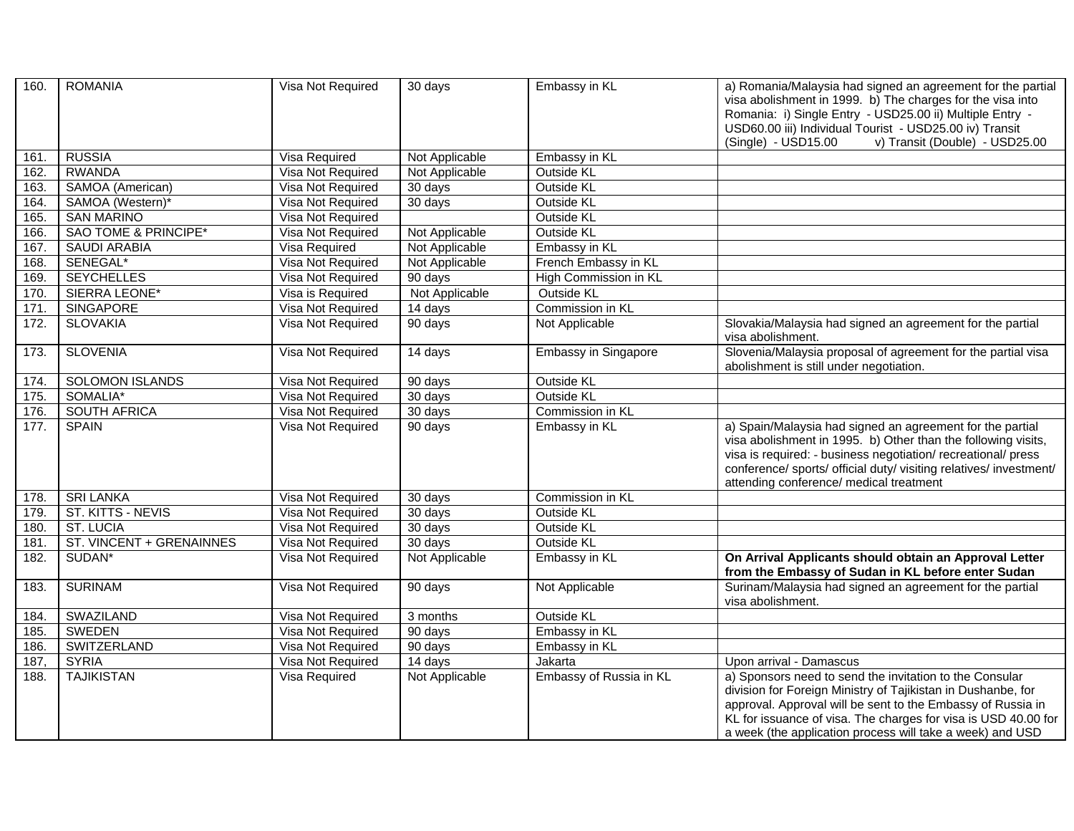| 160. | <b>ROMANIA</b>                  | Visa Not Required | 30 days              | Embassy in KL               | a) Romania/Malaysia had signed an agreement for the partial<br>visa abolishment in 1999. b) The charges for the visa into<br>Romania: i) Single Entry - USD25.00 ii) Multiple Entry -                                                                                                                                 |
|------|---------------------------------|-------------------|----------------------|-----------------------------|-----------------------------------------------------------------------------------------------------------------------------------------------------------------------------------------------------------------------------------------------------------------------------------------------------------------------|
|      |                                 |                   |                      |                             | USD60.00 iii) Individual Tourist - USD25.00 iv) Transit<br>(Single) - USD15.00<br>v) Transit (Double) - USD25.00                                                                                                                                                                                                      |
| 161. | <b>RUSSIA</b>                   | Visa Required     | Not Applicable       | Embassy in KL               |                                                                                                                                                                                                                                                                                                                       |
| 162. | <b>RWANDA</b>                   | Visa Not Required | Not Applicable       | Outside KL                  |                                                                                                                                                                                                                                                                                                                       |
| 163. | SAMOA (American)                | Visa Not Required | 30 days              | <b>Outside KL</b>           |                                                                                                                                                                                                                                                                                                                       |
| 164. | SAMOA (Western)*                | Visa Not Required | 30 days              | Outside KL                  |                                                                                                                                                                                                                                                                                                                       |
| 165. | <b>SAN MARINO</b>               | Visa Not Required |                      | <b>Outside KL</b>           |                                                                                                                                                                                                                                                                                                                       |
| 166. | <b>SAO TOME &amp; PRINCIPE*</b> | Visa Not Required | Not Applicable       | <b>Outside KL</b>           |                                                                                                                                                                                                                                                                                                                       |
| 167. | <b>SAUDI ARABIA</b>             | Visa Required     | Not Applicable       | Embassy in KL               |                                                                                                                                                                                                                                                                                                                       |
| 168. | SENEGAL*                        | Visa Not Required | Not Applicable       | French Embassy in KL        |                                                                                                                                                                                                                                                                                                                       |
| 169. | <b>SEYCHELLES</b>               | Visa Not Required | 90 days              | High Commission in KL       |                                                                                                                                                                                                                                                                                                                       |
| 170. | SIERRA LEONE*                   | Visa is Required  | Not Applicable       | Outside KL                  |                                                                                                                                                                                                                                                                                                                       |
| 171. | <b>SINGAPORE</b>                | Visa Not Required | 14 days              | Commission in KL            |                                                                                                                                                                                                                                                                                                                       |
| 172. | <b>SLOVAKIA</b>                 | Visa Not Required | 90 days              | Not Applicable              | Slovakia/Malaysia had signed an agreement for the partial<br>visa abolishment.                                                                                                                                                                                                                                        |
| 173. | <b>SLOVENIA</b>                 | Visa Not Required | $\overline{1}4$ days | <b>Embassy in Singapore</b> | Slovenia/Malaysia proposal of agreement for the partial visa<br>abolishment is still under negotiation.                                                                                                                                                                                                               |
| 174. | <b>SOLOMON ISLANDS</b>          | Visa Not Required | 90 days              | <b>Outside KL</b>           |                                                                                                                                                                                                                                                                                                                       |
| 175. | SOMALIA*                        | Visa Not Required | 30 days              | Outside KL                  |                                                                                                                                                                                                                                                                                                                       |
| 176. | <b>SOUTH AFRICA</b>             | Visa Not Required | 30 days              | Commission in KL            |                                                                                                                                                                                                                                                                                                                       |
| 177. | <b>SPAIN</b>                    | Visa Not Required | 90 days              | Embassy in KL               | a) Spain/Malaysia had signed an agreement for the partial<br>visa abolishment in 1995. b) Other than the following visits,<br>visa is required: - business negotiation/ recreational/ press<br>conference/ sports/ official duty/ visiting relatives/ investment/<br>attending conference/ medical treatment          |
| 178. | <b>SRI LANKA</b>                | Visa Not Required | 30 days              | Commission in KL            |                                                                                                                                                                                                                                                                                                                       |
| 179. | ST. KITTS - NEVIS               | Visa Not Required | 30 days              | Outside KL                  |                                                                                                                                                                                                                                                                                                                       |
| 180. | <b>ST. LUCIA</b>                | Visa Not Required | 30 days              | <b>Outside KL</b>           |                                                                                                                                                                                                                                                                                                                       |
| 181. | ST. VINCENT + GRENAINNES        | Visa Not Required | 30 days              | Outside KL                  |                                                                                                                                                                                                                                                                                                                       |
| 182. | SUDAN <sup>*</sup>              | Visa Not Required | Not Applicable       | Embassy in KL               | On Arrival Applicants should obtain an Approval Letter<br>from the Embassy of Sudan in KL before enter Sudan                                                                                                                                                                                                          |
| 183. | <b>SURINAM</b>                  | Visa Not Required | 90 days              | Not Applicable              | Surinam/Malaysia had signed an agreement for the partial<br>visa abolishment.                                                                                                                                                                                                                                         |
| 184. | <b>SWAZILAND</b>                | Visa Not Required | 3 months             | Outside KL                  |                                                                                                                                                                                                                                                                                                                       |
| 185. | <b>SWEDEN</b>                   | Visa Not Required | 90 days              | Embassy in KL               |                                                                                                                                                                                                                                                                                                                       |
| 186. | SWITZERLAND                     | Visa Not Required | 90 days              | Embassy in KL               |                                                                                                                                                                                                                                                                                                                       |
| 187, | <b>SYRIA</b>                    | Visa Not Required | 14 days              | Jakarta                     | Upon arrival - Damascus                                                                                                                                                                                                                                                                                               |
| 188. | <b>TAJIKISTAN</b>               | Visa Required     | Not Applicable       | Embassy of Russia in KL     | a) Sponsors need to send the invitation to the Consular<br>division for Foreign Ministry of Tajikistan in Dushanbe, for<br>approval. Approval will be sent to the Embassy of Russia in<br>KL for issuance of visa. The charges for visa is USD 40.00 for<br>a week (the application process will take a week) and USD |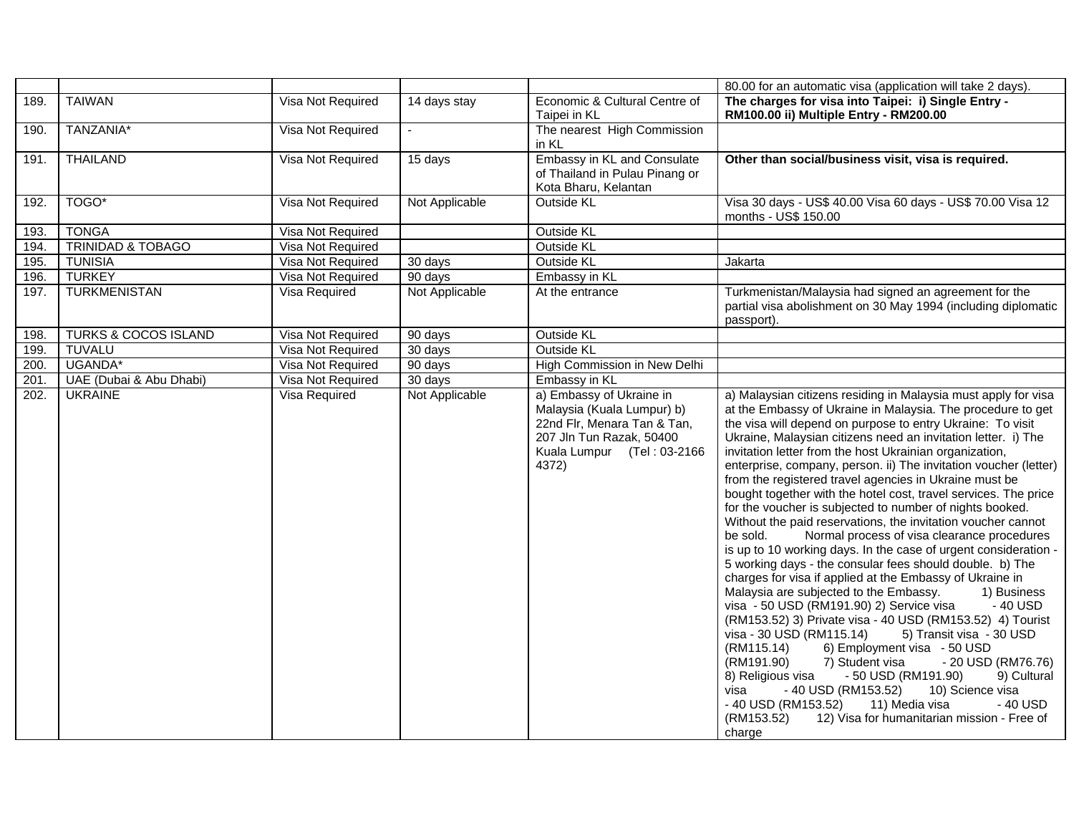|      |                              |                   |                |                                                                                                                                                          | 80.00 for an automatic visa (application will take 2 days).                                                                                                                                                                                                                                                                                                                                                                                                                                                                                                                                                                                                                                                                                                                                                                                                                                                                                                                                                                                                                                                                                                                                                                                                                                                                                                                                                                                                                                    |
|------|------------------------------|-------------------|----------------|----------------------------------------------------------------------------------------------------------------------------------------------------------|------------------------------------------------------------------------------------------------------------------------------------------------------------------------------------------------------------------------------------------------------------------------------------------------------------------------------------------------------------------------------------------------------------------------------------------------------------------------------------------------------------------------------------------------------------------------------------------------------------------------------------------------------------------------------------------------------------------------------------------------------------------------------------------------------------------------------------------------------------------------------------------------------------------------------------------------------------------------------------------------------------------------------------------------------------------------------------------------------------------------------------------------------------------------------------------------------------------------------------------------------------------------------------------------------------------------------------------------------------------------------------------------------------------------------------------------------------------------------------------------|
| 189. | <b>TAIWAN</b>                | Visa Not Required | 14 days stay   | Economic & Cultural Centre of<br>Taipei in KL                                                                                                            | The charges for visa into Taipei: i) Single Entry -<br>RM100.00 ii) Multiple Entry - RM200.00                                                                                                                                                                                                                                                                                                                                                                                                                                                                                                                                                                                                                                                                                                                                                                                                                                                                                                                                                                                                                                                                                                                                                                                                                                                                                                                                                                                                  |
| 190. | TANZANIA*                    | Visa Not Required |                | The nearest High Commission<br>in KL                                                                                                                     |                                                                                                                                                                                                                                                                                                                                                                                                                                                                                                                                                                                                                                                                                                                                                                                                                                                                                                                                                                                                                                                                                                                                                                                                                                                                                                                                                                                                                                                                                                |
| 191. | <b>THAILAND</b>              | Visa Not Required | 15 days        | Embassy in KL and Consulate<br>of Thailand in Pulau Pinang or<br>Kota Bharu, Kelantan                                                                    | Other than social/business visit, visa is required.                                                                                                                                                                                                                                                                                                                                                                                                                                                                                                                                                                                                                                                                                                                                                                                                                                                                                                                                                                                                                                                                                                                                                                                                                                                                                                                                                                                                                                            |
| 192. | TOGO*                        | Visa Not Required | Not Applicable | Outside KL                                                                                                                                               | Visa 30 days - US\$ 40.00 Visa 60 days - US\$ 70.00 Visa 12<br>months - US\$ 150.00                                                                                                                                                                                                                                                                                                                                                                                                                                                                                                                                                                                                                                                                                                                                                                                                                                                                                                                                                                                                                                                                                                                                                                                                                                                                                                                                                                                                            |
| 193. | <b>TONGA</b>                 | Visa Not Required |                | Outside KL                                                                                                                                               |                                                                                                                                                                                                                                                                                                                                                                                                                                                                                                                                                                                                                                                                                                                                                                                                                                                                                                                                                                                                                                                                                                                                                                                                                                                                                                                                                                                                                                                                                                |
| 194. | <b>TRINIDAD &amp; TOBAGO</b> | Visa Not Required |                | <b>Outside KL</b>                                                                                                                                        |                                                                                                                                                                                                                                                                                                                                                                                                                                                                                                                                                                                                                                                                                                                                                                                                                                                                                                                                                                                                                                                                                                                                                                                                                                                                                                                                                                                                                                                                                                |
| 195. | <b>TUNISIA</b>               | Visa Not Required | 30 days        | <b>Outside KL</b>                                                                                                                                        | Jakarta                                                                                                                                                                                                                                                                                                                                                                                                                                                                                                                                                                                                                                                                                                                                                                                                                                                                                                                                                                                                                                                                                                                                                                                                                                                                                                                                                                                                                                                                                        |
| 196. | <b>TURKEY</b>                | Visa Not Required | 90 days        | Embassy in KL                                                                                                                                            |                                                                                                                                                                                                                                                                                                                                                                                                                                                                                                                                                                                                                                                                                                                                                                                                                                                                                                                                                                                                                                                                                                                                                                                                                                                                                                                                                                                                                                                                                                |
| 197. | <b>TURKMENISTAN</b>          | Visa Required     | Not Applicable | At the entrance                                                                                                                                          | Turkmenistan/Malaysia had signed an agreement for the<br>partial visa abolishment on 30 May 1994 (including diplomatic<br>passport).                                                                                                                                                                                                                                                                                                                                                                                                                                                                                                                                                                                                                                                                                                                                                                                                                                                                                                                                                                                                                                                                                                                                                                                                                                                                                                                                                           |
| 198. | TURKS & COCOS ISLAND         | Visa Not Required | 90 days        | Outside KL                                                                                                                                               |                                                                                                                                                                                                                                                                                                                                                                                                                                                                                                                                                                                                                                                                                                                                                                                                                                                                                                                                                                                                                                                                                                                                                                                                                                                                                                                                                                                                                                                                                                |
| 199. | <b>TUVALU</b>                | Visa Not Required | 30 days        | Outside KL                                                                                                                                               |                                                                                                                                                                                                                                                                                                                                                                                                                                                                                                                                                                                                                                                                                                                                                                                                                                                                                                                                                                                                                                                                                                                                                                                                                                                                                                                                                                                                                                                                                                |
| 200. | UGANDA*                      | Visa Not Required | 90 days        | High Commission in New Delhi                                                                                                                             |                                                                                                                                                                                                                                                                                                                                                                                                                                                                                                                                                                                                                                                                                                                                                                                                                                                                                                                                                                                                                                                                                                                                                                                                                                                                                                                                                                                                                                                                                                |
| 201  | UAE (Dubai & Abu Dhabi)      | Visa Not Required | 30 days        | Embassy in KL                                                                                                                                            |                                                                                                                                                                                                                                                                                                                                                                                                                                                                                                                                                                                                                                                                                                                                                                                                                                                                                                                                                                                                                                                                                                                                                                                                                                                                                                                                                                                                                                                                                                |
| 202. | <b>UKRAINE</b>               | Visa Required     | Not Applicable | a) Embassy of Ukraine in<br>Malaysia (Kuala Lumpur) b)<br>22nd Flr, Menara Tan & Tan,<br>207 Jln Tun Razak, 50400<br>Kuala Lumpur (Tel: 03-2166<br>4372) | a) Malaysian citizens residing in Malaysia must apply for visa<br>at the Embassy of Ukraine in Malaysia. The procedure to get<br>the visa will depend on purpose to entry Ukraine: To visit<br>Ukraine, Malaysian citizens need an invitation letter. i) The<br>invitation letter from the host Ukrainian organization,<br>enterprise, company, person. ii) The invitation voucher (letter)<br>from the registered travel agencies in Ukraine must be<br>bought together with the hotel cost, travel services. The price<br>for the voucher is subjected to number of nights booked.<br>Without the paid reservations, the invitation voucher cannot<br>Normal process of visa clearance procedures<br>be sold.<br>is up to 10 working days. In the case of urgent consideration -<br>5 working days - the consular fees should double. b) The<br>charges for visa if applied at the Embassy of Ukraine in<br>Malaysia are subjected to the Embassy.<br>1) Business<br>visa - 50 USD (RM191.90) 2) Service visa<br>- 40 USD<br>(RM153.52) 3) Private visa - 40 USD (RM153.52) 4) Tourist<br>visa - 30 USD (RM115.14)<br>5) Transit visa - 30 USD<br>(RM115.14)<br>6) Employment visa - 50 USD<br>7) Student visa<br>- 20 USD (RM76.76)<br>(RM191.90)<br>- 50 USD (RM191.90)<br>8) Religious visa<br>9) Cultural<br>- 40 USD (RM153.52)<br>10) Science visa<br>visa<br>11) Media visa<br>- 40 USD (RM153.52)<br>- 40 USD<br>(RM153.52)<br>12) Visa for humanitarian mission - Free of<br>charge |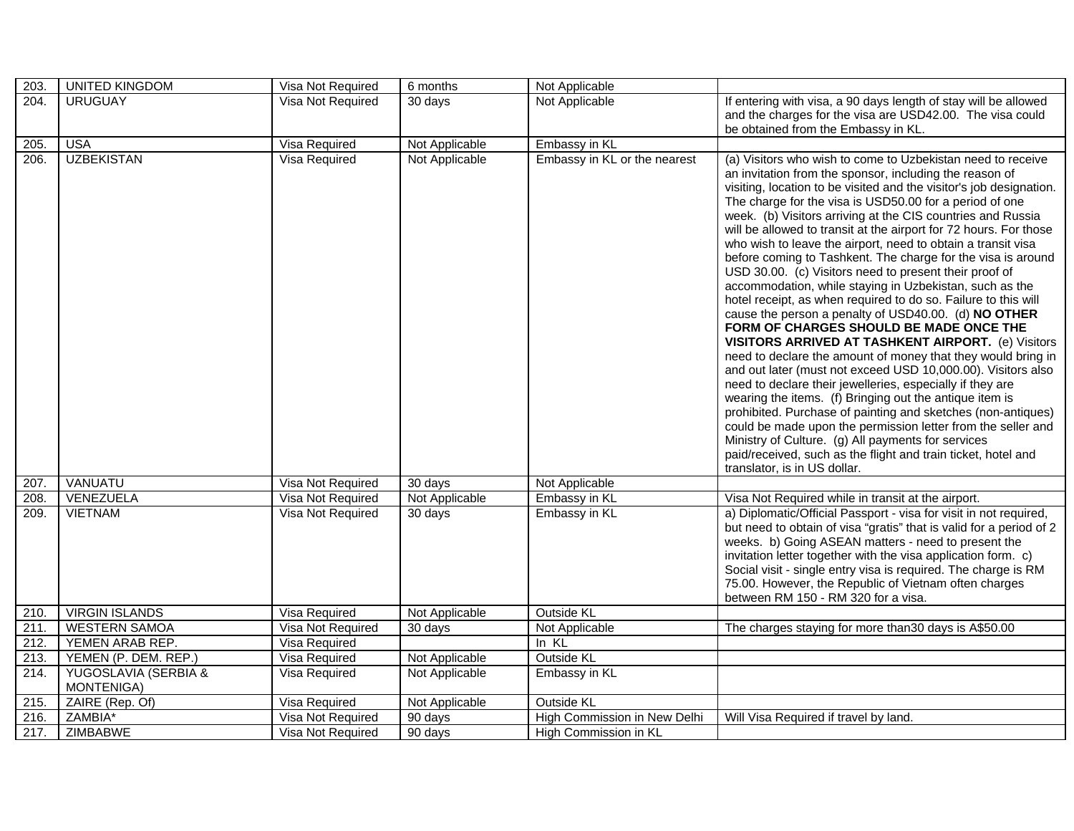| 203. | <b>UNITED KINGDOM</b>              | Visa Not Required | 6 months       | Not Applicable               |                                                                                                                                                                                                                                                                                                                                                                                                                                                                                                                                                                                                                                                                                                                                                                                                                                                                                                                                                                                                                                                                                                                                                                                                                                                                                                                                                                                                                                    |
|------|------------------------------------|-------------------|----------------|------------------------------|------------------------------------------------------------------------------------------------------------------------------------------------------------------------------------------------------------------------------------------------------------------------------------------------------------------------------------------------------------------------------------------------------------------------------------------------------------------------------------------------------------------------------------------------------------------------------------------------------------------------------------------------------------------------------------------------------------------------------------------------------------------------------------------------------------------------------------------------------------------------------------------------------------------------------------------------------------------------------------------------------------------------------------------------------------------------------------------------------------------------------------------------------------------------------------------------------------------------------------------------------------------------------------------------------------------------------------------------------------------------------------------------------------------------------------|
| 204. | <b>URUGUAY</b>                     | Visa Not Required | 30 days        | Not Applicable               | If entering with visa, a 90 days length of stay will be allowed<br>and the charges for the visa are USD42.00. The visa could<br>be obtained from the Embassy in KL.                                                                                                                                                                                                                                                                                                                                                                                                                                                                                                                                                                                                                                                                                                                                                                                                                                                                                                                                                                                                                                                                                                                                                                                                                                                                |
| 205. | <b>USA</b>                         | Visa Required     | Not Applicable | Embassy in KL                |                                                                                                                                                                                                                                                                                                                                                                                                                                                                                                                                                                                                                                                                                                                                                                                                                                                                                                                                                                                                                                                                                                                                                                                                                                                                                                                                                                                                                                    |
| 206. | <b>UZBEKISTAN</b>                  | Visa Required     | Not Applicable | Embassy in KL or the nearest | (a) Visitors who wish to come to Uzbekistan need to receive<br>an invitation from the sponsor, including the reason of<br>visiting, location to be visited and the visitor's job designation.<br>The charge for the visa is USD50.00 for a period of one<br>week. (b) Visitors arriving at the CIS countries and Russia<br>will be allowed to transit at the airport for 72 hours. For those<br>who wish to leave the airport, need to obtain a transit visa<br>before coming to Tashkent. The charge for the visa is around<br>USD 30.00. (c) Visitors need to present their proof of<br>accommodation, while staying in Uzbekistan, such as the<br>hotel receipt, as when required to do so. Failure to this will<br>cause the person a penalty of USD40.00. (d) NO OTHER<br>FORM OF CHARGES SHOULD BE MADE ONCE THE<br><b>VISITORS ARRIVED AT TASHKENT AIRPORT.</b> (e) Visitors<br>need to declare the amount of money that they would bring in<br>and out later (must not exceed USD 10,000.00). Visitors also<br>need to declare their jewelleries, especially if they are<br>wearing the items. (f) Bringing out the antique item is<br>prohibited. Purchase of painting and sketches (non-antiques)<br>could be made upon the permission letter from the seller and<br>Ministry of Culture. (g) All payments for services<br>paid/received, such as the flight and train ticket, hotel and<br>translator, is in US dollar. |
| 207. | VANUATU                            | Visa Not Required | 30 days        | Not Applicable               |                                                                                                                                                                                                                                                                                                                                                                                                                                                                                                                                                                                                                                                                                                                                                                                                                                                                                                                                                                                                                                                                                                                                                                                                                                                                                                                                                                                                                                    |
| 208. | VENEZUELA                          | Visa Not Required | Not Applicable | Embassy in KL                | Visa Not Required while in transit at the airport.                                                                                                                                                                                                                                                                                                                                                                                                                                                                                                                                                                                                                                                                                                                                                                                                                                                                                                                                                                                                                                                                                                                                                                                                                                                                                                                                                                                 |
| 209. | <b>VIETNAM</b>                     | Visa Not Required | 30 days        | Embassy in KL                | a) Diplomatic/Official Passport - visa for visit in not required,<br>but need to obtain of visa "gratis" that is valid for a period of 2<br>weeks. b) Going ASEAN matters - need to present the<br>invitation letter together with the visa application form. c)<br>Social visit - single entry visa is required. The charge is RM<br>75.00. However, the Republic of Vietnam often charges<br>between RM 150 - RM 320 for a visa.                                                                                                                                                                                                                                                                                                                                                                                                                                                                                                                                                                                                                                                                                                                                                                                                                                                                                                                                                                                                 |
| 210. | <b>VIRGIN ISLANDS</b>              | Visa Required     | Not Applicable | Outside KL                   |                                                                                                                                                                                                                                                                                                                                                                                                                                                                                                                                                                                                                                                                                                                                                                                                                                                                                                                                                                                                                                                                                                                                                                                                                                                                                                                                                                                                                                    |
| 211. | <b>WESTERN SAMOA</b>               | Visa Not Required | 30 days        | Not Applicable               | The charges staying for more than 30 days is A\$50.00                                                                                                                                                                                                                                                                                                                                                                                                                                                                                                                                                                                                                                                                                                                                                                                                                                                                                                                                                                                                                                                                                                                                                                                                                                                                                                                                                                              |
| 212. | YEMEN ARAB REP.                    | Visa Required     |                | In KL                        |                                                                                                                                                                                                                                                                                                                                                                                                                                                                                                                                                                                                                                                                                                                                                                                                                                                                                                                                                                                                                                                                                                                                                                                                                                                                                                                                                                                                                                    |
| 213. | YEMEN (P. DEM. REP.)               | Visa Required     | Not Applicable | Outside KL                   |                                                                                                                                                                                                                                                                                                                                                                                                                                                                                                                                                                                                                                                                                                                                                                                                                                                                                                                                                                                                                                                                                                                                                                                                                                                                                                                                                                                                                                    |
| 214. | YUGOSLAVIA (SERBIA &<br>MONTENIGA) | Visa Required     | Not Applicable | Embassy in KL                |                                                                                                                                                                                                                                                                                                                                                                                                                                                                                                                                                                                                                                                                                                                                                                                                                                                                                                                                                                                                                                                                                                                                                                                                                                                                                                                                                                                                                                    |
| 215. | ZAIRE (Rep. Of)                    | Visa Required     | Not Applicable | Outside KL                   |                                                                                                                                                                                                                                                                                                                                                                                                                                                                                                                                                                                                                                                                                                                                                                                                                                                                                                                                                                                                                                                                                                                                                                                                                                                                                                                                                                                                                                    |
| 216. | ZAMBIA*                            | Visa Not Required | 90 days        | High Commission in New Delhi | Will Visa Required if travel by land.                                                                                                                                                                                                                                                                                                                                                                                                                                                                                                                                                                                                                                                                                                                                                                                                                                                                                                                                                                                                                                                                                                                                                                                                                                                                                                                                                                                              |
| 217. | ZIMBABWE                           | Visa Not Required | 90 days        | High Commission in KL        |                                                                                                                                                                                                                                                                                                                                                                                                                                                                                                                                                                                                                                                                                                                                                                                                                                                                                                                                                                                                                                                                                                                                                                                                                                                                                                                                                                                                                                    |